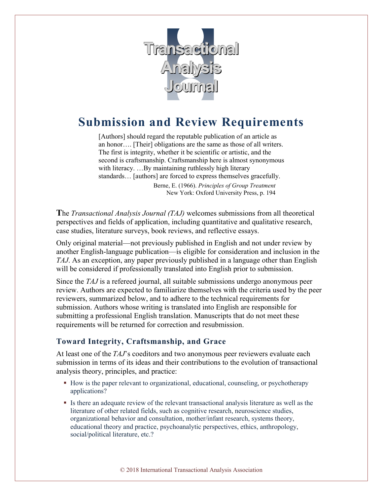

# **Submission and Review Requirements**

[Authors] should regard the reputable publication of an article as an honor…. [Their] obligations are the same as those of all writers. The first is integrity, whether it be scientific or artistic, and the second is craftsmanship. Craftsmanship here is almost synonymous with literacy. ...By maintaining ruthlessly high literary standards… [authors] are forced to express themselves gracefully.

> Berne, E. (1966). *Principles of Group Treatment* New York: Oxford University Press, p. 194

**T**he *Transactional Analysis Journal (TAJ)* welcomes submissions from all theoretical perspectives and fields of application, including quantitative and qualitative research, case studies, literature surveys, book reviews, and reflective essays.

Only original material—not previously published in English and not under review by another English-language publication—is eligible for consideration and inclusion in the *TAJ*. As an exception, any paper previously published in a language other than English will be considered if professionally translated into English prior to submission.

Since the *TAJ* is a refereed journal, all suitable submissions undergo anonymous peer review. Authors are expected to familiarize themselves with the criteria used by the peer reviewers, summarized below, and to adhere to the technical requirements for submission. Authors whose writing is translated into English are responsible for submitting a professional English translation. Manuscripts that do not meet these requirements will be returned for correction and resubmission.

## **Toward Integrity, Craftsmanship, and Grace**

At least one of the *TAJ*'s coeditors and two anonymous peer reviewers evaluate each submission in terms of its ideas and their contributions to the evolution of transactional analysis theory, principles, and practice:

- How is the paper relevant to organizational, educational, counseling, or psychotherapy applications?
- Is there an adequate review of the relevant transactional analysis literature as well as the literature of other related fields, such as cognitive research, neuroscience studies, organizational behavior and consultation, mother/infant research, systems theory, educational theory and practice, psychoanalytic perspectives, ethics, anthropology, social/political literature, etc.?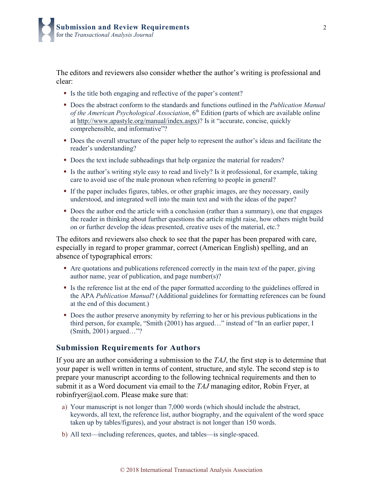The editors and reviewers also consider whether the author's writing is professional and clear:

- Is the title both engaging and reflective of the paper's content?
- Does the abstract conform to the standards and functions outlined in the *Publication Manual*  of the American Psychological Association, 6<sup>th</sup> Edition (parts of which are available online at http://www.apastyle.org/manual/index.aspx)? Is it "accurate, concise, quickly comprehensible, and informative"?
- Does the overall structure of the paper help to represent the author's ideas and facilitate the reader's understanding?
- Does the text include subheadings that help organize the material for readers?
- Is the author's writing style easy to read and lively? Is it professional, for example, taking care to avoid use of the male pronoun when referring to people in general?
- If the paper includes figures, tables, or other graphic images, are they necessary, easily understood, and integrated well into the main text and with the ideas of the paper?
- Does the author end the article with a conclusion (rather than a summary), one that engages the reader in thinking about further questions the article might raise, how others might build on or further develop the ideas presented, creative uses of the material, etc.?

The editors and reviewers also check to see that the paper has been prepared with care, especially in regard to proper grammar, correct (American English) spelling, and an absence of typographical errors:

- Are quotations and publications referenced correctly in the main text of the paper, giving author name, year of publication, and page number(s)?
- Is the reference list at the end of the paper formatted according to the guidelines offered in the APA *Publication Manual*? (Additional guidelines for formatting references can be found at the end of this document.)
- Does the author preserve anonymity by referring to her or his previous publications in the third person, for example, "Smith (2001) has argued…" instead of "In an earlier paper, I (Smith, 2001) argued…"?

#### **Submission Requirements for Authors**

If you are an author considering a submission to the *TAJ*, the first step is to determine that your paper is well written in terms of content, structure, and style. The second step is to prepare your manuscript according to the following technical requirements and then to submit it as a Word document via email to the *TAJ* managing editor, Robin Fryer, at robinfryer $(\alpha)$ aol.com. Please make sure that:

- a) Your manuscript is not longer than 7,000 words (which should include the abstract, keywords, all text, the reference list, author biography, and the equivalent of the word space taken up by tables/figures), and your abstract is not longer than 150 words.
- b) All text—including references, quotes, and tables—is single-spaced.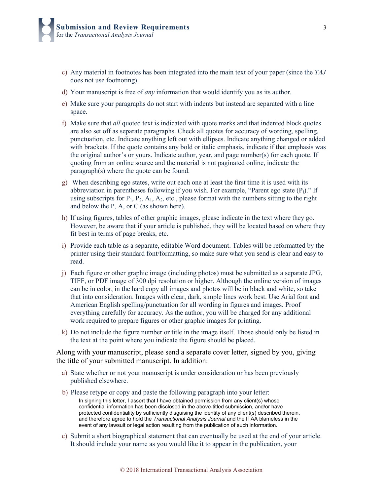- c) Any material in footnotes has been integrated into the main text of your paper (since the *TAJ* does not use footnoting).
- d) Your manuscript is free of *any* information that would identify you as its author.
- e) Make sure your paragraphs do not start with indents but instead are separated with a line space.
- f) Make sure that *all* quoted text is indicated with quote marks and that indented block quotes are also set off as separate paragraphs. Check all quotes for accuracy of wording, spelling, punctuation, etc. Indicate anything left out with ellipses. Indicate anything changed or added with brackets. If the quote contains any bold or italic emphasis, indicate if that emphasis was the original author's or yours. Indicate author, year, and page number(s) for each quote. If quoting from an online source and the material is not paginated online, indicate the paragraph(s) where the quote can be found.
- g) When describing ego states, write out each one at least the first time it is used with its abbreviation in parentheses following if you wish. For example, "Parent ego state  $(P_1)$ ." If using subscripts for  $P_1$ ,  $P_2$ ,  $A_1$ ,  $A_2$ , etc., please format with the numbers sitting to the right and below the P, A, or C (as shown here).
- h) If using figures, tables of other graphic images, please indicate in the text where they go. However, be aware that if your article is published, they will be located based on where they fit best in terms of page breaks, etc.
- i) Provide each table as a separate, editable Word document. Tables will be reformatted by the printer using their standard font/formatting, so make sure what you send is clear and easy to read.
- j) Each figure or other graphic image (including photos) must be submitted as a separate JPG, TIFF, or PDF image of 300 dpi resolution or higher. Although the online version of images can be in color, in the hard copy all images and photos will be in black and white, so take that into consideration. Images with clear, dark, simple lines work best. Use Arial font and American English spelling/punctuation for all wording in figures and images. Proof everything carefully for accuracy. As the author, you will be charged for any additional work required to prepare figures or other graphic images for printing.
- k) Do not include the figure number or title in the image itself. Those should only be listed in the text at the point where you indicate the figure should be placed.

Along with your manuscript, please send a separate cover letter, signed by you, giving the title of your submitted manuscript. In addition:

- a) State whether or not your manuscript is under consideration or has been previously published elsewhere.
- b) Please retype or copy and paste the following paragraph into your letter:

In signing this letter, I assert that I have obtained permission from any client(s) whose confidential information has been disclosed in the above-titled submission, and/or have protected confidentiality by sufficiently disguising the identity of any client(s) described therein, and therefore agree to hold the *Transactional Analysis Journal* and the ITAA blameless in the event of any lawsuit or legal action resulting from the publication of such information.

c) Submit a short biographical statement that can eventually be used at the end of your article. It should include your name as you would like it to appear in the publication, your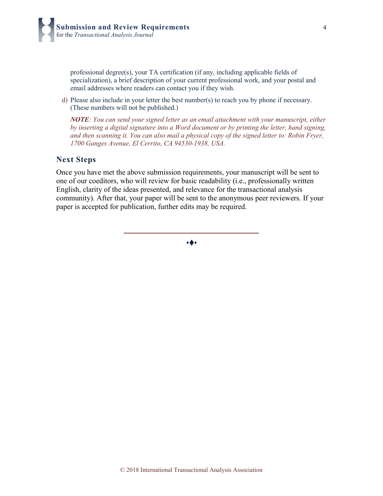professional degree(s), your TA certification (if any, including applicable fields of specialization), a brief description of your current professional work, and your postal and email addresses where readers can contact you if they wish.

d) Please also include in your letter the best number(s) to reach you by phone if necessary. (These numbers will not be published.)

*NOTE: You can send your signed letter as an email attachment with your manuscript, either by inserting a digital signature into a Word document or by printing the letter, hand signing, and then scanning it. You can also mail a physical copy of the signed letter to: Robin Fryer, 1700 Ganges Avenue, El Cerrito, CA 94530-1938, USA.*

### **Next Steps**

Once you have met the above submission requirements, your manuscript will be sent to one of our coeditors, who will review for basic readability (i.e., professionally written English, clarity of the ideas presented, and relevance for the transactional analysis community). After that, your paper will be sent to the anonymous peer reviewers. If your paper is accepted for publication, further edits may be required.

 $\bullet\spadesuit\bullet$